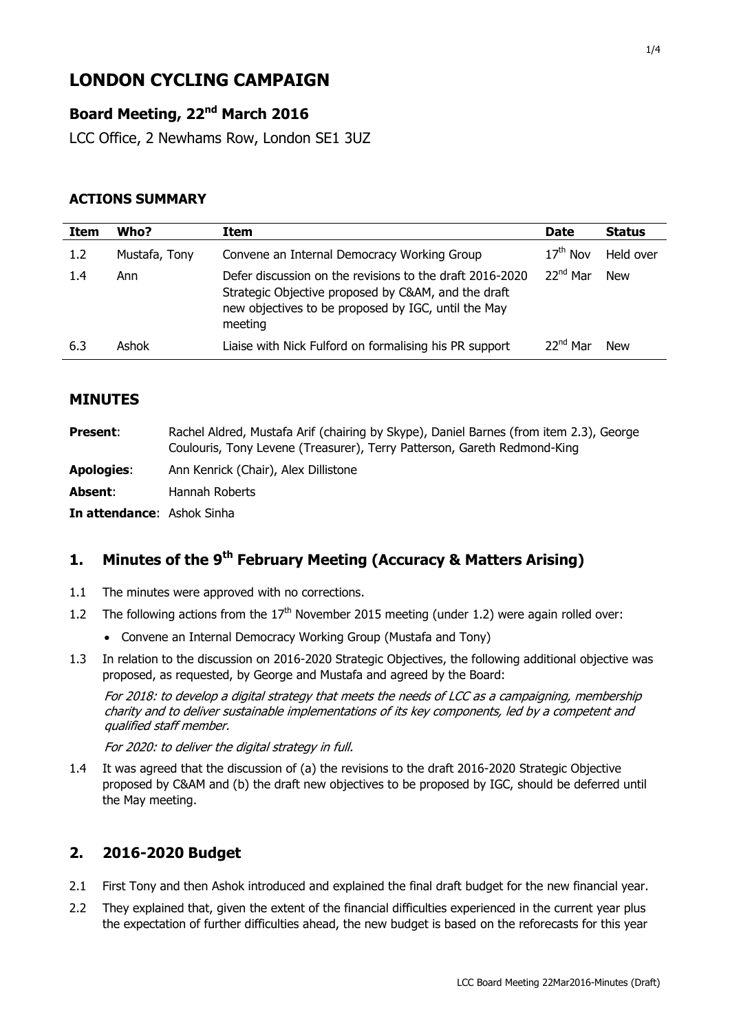# **LONDON CYCLING CAMPAIGN**

# **Board Meeting, 22nd March 2016**

LCC Office, 2 Newhams Row, London SE1 3UZ

## **ACTIONS SUMMARY**

| Item | Who?          | Item                                                                                                                                                                              | <b>Date</b>          | <b>Status</b> |
|------|---------------|-----------------------------------------------------------------------------------------------------------------------------------------------------------------------------------|----------------------|---------------|
| 1.2  | Mustafa, Tony | Convene an Internal Democracy Working Group                                                                                                                                       | $17^{\text{th}}$ Nov | Held over     |
| 1.4  | Ann           | Defer discussion on the revisions to the draft 2016-2020<br>Strategic Objective proposed by C&AM, and the draft<br>new objectives to be proposed by IGC, until the May<br>meeting | 22 <sup>nd</sup> Mar | <b>New</b>    |
| 6.3  | Ashok         | Liaise with Nick Fulford on formalising his PR support                                                                                                                            | 22 <sup>nd</sup> Mar | <b>New</b>    |

#### **MINUTES**

| <b>Present:</b>            | Rachel Aldred, Mustafa Arif (chairing by Skype), Daniel Barnes (from item 2.3), George<br>Coulouris, Tony Levene (Treasurer), Terry Patterson, Gareth Redmond-King |
|----------------------------|--------------------------------------------------------------------------------------------------------------------------------------------------------------------|
| <b>Apologies:</b>          | Ann Kenrick (Chair), Alex Dillistone                                                                                                                               |
| Absent:                    | Hannah Roberts                                                                                                                                                     |
| In attendance: Ashok Sinha |                                                                                                                                                                    |

# **1. Minutes of the 9 th February Meeting (Accuracy & Matters Arising)**

- 1.1 The minutes were approved with no corrections.
- 1.2 The following actions from the  $17<sup>th</sup>$  November 2015 meeting (under 1.2) were again rolled over:
	- Convene an Internal Democracy Working Group (Mustafa and Tony)
- 1.3 In relation to the discussion on 2016-2020 Strategic Objectives, the following additional objective was proposed, as requested, by George and Mustafa and agreed by the Board:

For 2018: to develop a digital strategy that meets the needs of LCC as a campaigning, membership charity and to deliver sustainable implementations of its key components, led by a competent and qualified staff member.

For 2020: to deliver the digital strategy in full.

1.4 It was agreed that the discussion of (a) the revisions to the draft 2016-2020 Strategic Objective proposed by C&AM and (b) the draft new objectives to be proposed by IGC, should be deferred until the May meeting.

## **2. 2016-2020 Budget**

- 2.1 First Tony and then Ashok introduced and explained the final draft budget for the new financial year.
- 2.2 They explained that, given the extent of the financial difficulties experienced in the current year plus the expectation of further difficulties ahead, the new budget is based on the reforecasts for this year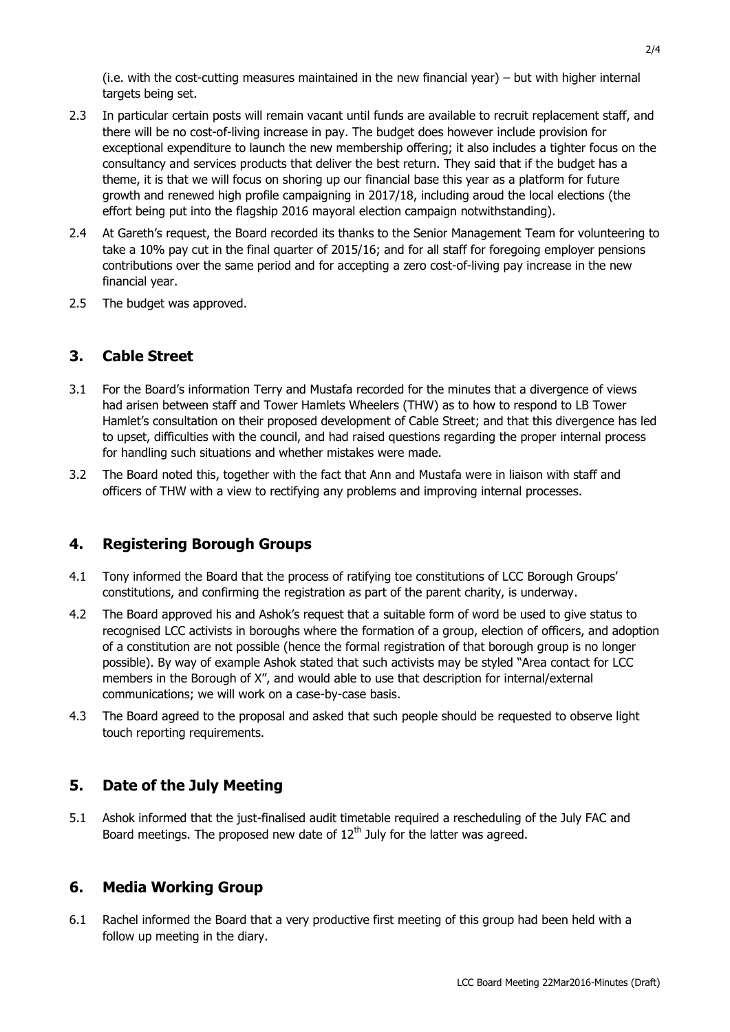(i.e. with the cost-cutting measures maintained in the new financial year) – but with higher internal targets being set.

- 2.3 In particular certain posts will remain vacant until funds are available to recruit replacement staff, and there will be no cost-of-living increase in pay. The budget does however include provision for exceptional expenditure to launch the new membership offering; it also includes a tighter focus on the consultancy and services products that deliver the best return. They said that if the budget has a theme, it is that we will focus on shoring up our financial base this year as a platform for future growth and renewed high profile campaigning in 2017/18, including aroud the local elections (the effort being put into the flagship 2016 mayoral election campaign notwithstanding).
- 2.4 At Gareth's request, the Board recorded its thanks to the Senior Management Team for volunteering to take a 10% pay cut in the final quarter of 2015/16; and for all staff for foregoing employer pensions contributions over the same period and for accepting a zero cost-of-living pay increase in the new financial year.
- 2.5 The budget was approved.

## **3. Cable Street**

- 3.1 For the Board's information Terry and Mustafa recorded for the minutes that a divergence of views had arisen between staff and Tower Hamlets Wheelers (THW) as to how to respond to LB Tower Hamlet's consultation on their proposed development of Cable Street; and that this divergence has led to upset, difficulties with the council, and had raised questions regarding the proper internal process for handling such situations and whether mistakes were made.
- 3.2 The Board noted this, together with the fact that Ann and Mustafa were in liaison with staff and officers of THW with a view to rectifying any problems and improving internal processes.

#### **4. Registering Borough Groups**

- 4.1 Tony informed the Board that the process of ratifying toe constitutions of LCC Borough Groups' constitutions, and confirming the registration as part of the parent charity, is underway.
- 4.2 The Board approved his and Ashok's request that a suitable form of word be used to give status to recognised LCC activists in boroughs where the formation of a group, election of officers, and adoption of a constitution are not possible (hence the formal registration of that borough group is no longer possible). By way of example Ashok stated that such activists may be styled "Area contact for LCC members in the Borough of X", and would able to use that description for internal/external communications; we will work on a case-by-case basis.
- 4.3 The Board agreed to the proposal and asked that such people should be requested to observe light touch reporting requirements.

## **5. Date of the July Meeting**

5.1 Ashok informed that the just-finalised audit timetable required a rescheduling of the July FAC and Board meetings. The proposed new date of  $12<sup>th</sup>$  July for the latter was agreed.

#### **6. Media Working Group**

6.1 Rachel informed the Board that a very productive first meeting of this group had been held with a follow up meeting in the diary.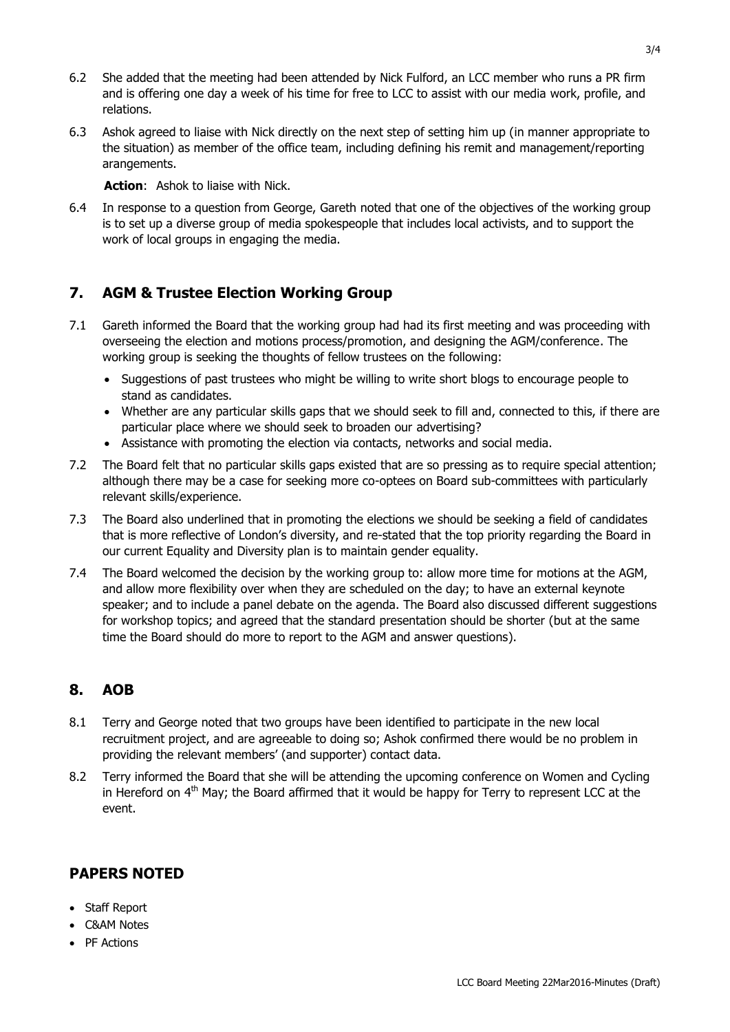- 6.2 She added that the meeting had been attended by Nick Fulford, an LCC member who runs a PR firm and is offering one day a week of his time for free to LCC to assist with our media work, profile, and relations.
- 6.3 Ashok agreed to liaise with Nick directly on the next step of setting him up (in manner appropriate to the situation) as member of the office team, including defining his remit and management/reporting arangements.

**Action**: Ashok to liaise with Nick.

6.4 In response to a question from George, Gareth noted that one of the objectives of the working group is to set up a diverse group of media spokespeople that includes local activists, and to support the work of local groups in engaging the media.

# **7. AGM & Trustee Election Working Group**

- 7.1 Gareth informed the Board that the working group had had its first meeting and was proceeding with overseeing the election and motions process/promotion, and designing the AGM/conference. The working group is seeking the thoughts of fellow trustees on the following:
	- Suggestions of past trustees who might be willing to write short blogs to encourage people to stand as candidates.
	- Whether are any particular skills gaps that we should seek to fill and, connected to this, if there are particular place where we should seek to broaden our advertising?
	- Assistance with promoting the election via contacts, networks and social media.
- 7.2 The Board felt that no particular skills gaps existed that are so pressing as to require special attention; although there may be a case for seeking more co-optees on Board sub-committees with particularly relevant skills/experience.
- 7.3 The Board also underlined that in promoting the elections we should be seeking a field of candidates that is more reflective of London's diversity, and re-stated that the top priority regarding the Board in our current Equality and Diversity plan is to maintain gender equality.
- 7.4 The Board welcomed the decision by the working group to: allow more time for motions at the AGM, and allow more flexibility over when they are scheduled on the day; to have an external keynote speaker; and to include a panel debate on the agenda. The Board also discussed different suggestions for workshop topics; and agreed that the standard presentation should be shorter (but at the same time the Board should do more to report to the AGM and answer questions).

## **8. AOB**

- 8.1 Terry and George noted that two groups have been identified to participate in the new local recruitment project, and are agreeable to doing so; Ashok confirmed there would be no problem in providing the relevant members' (and supporter) contact data.
- 8.2 Terry informed the Board that she will be attending the upcoming conference on Women and Cycling in Hereford on  $4<sup>th</sup>$  May; the Board affirmed that it would be happy for Terry to represent LCC at the event.

# **PAPERS NOTED**

- Staff Report
- C&AM Notes
- PF Actions